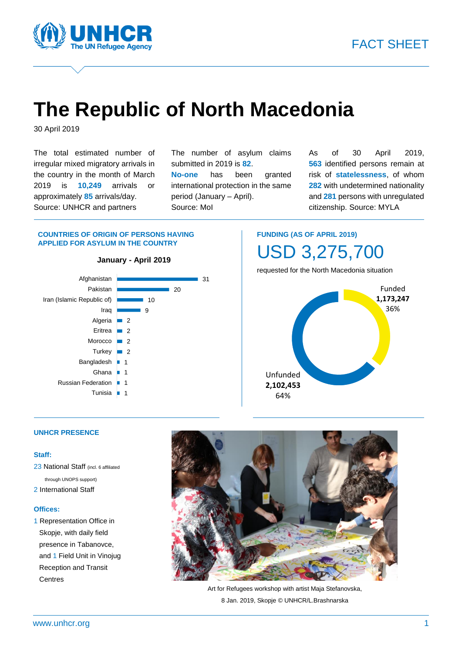

# **The Republic of North Macedonia**

30 April 2019

The total estimated number of irregular mixed migratory arrivals in the country in the month of March 2019 is **10,249** arrivals or approximately **85** arrivals/day. Source: UNHCR and partners

The number of asylum claims submitted in 2019 is **82**.

**No-one** has been granted international protection in the same period (January – April). Source: MoI

As of 30 April 2019, **563** identified persons remain at risk of **statelessness**, of whom **282** with undetermined nationality and **281** persons with unregulated citizenship. Source: MYLA

#### **COUNTRIES OF ORIGIN OF PERSONS HAVING APPLIED FOR ASYLUM IN THE COUNTRY**



**FUNDING (AS OF APRIL 2019)** USD 3,275,700

requested for the North Macedonia situation



#### **UNHCR PRESENCE**

#### **Staff:**

23 National Staff (incl. 6 affiliated through UNOPS support) 2 International Staff

#### **Offices:**

1 Representation Office in Skopje, with daily field presence in Tabanovce, and 1 Field Unit in Vinojug Reception and Transit **Centres** 



Art for Refugees workshop with artist Maja Stefanovska, 8 Jan. 2019, Skopje © UNHCR/L.Brashnarska